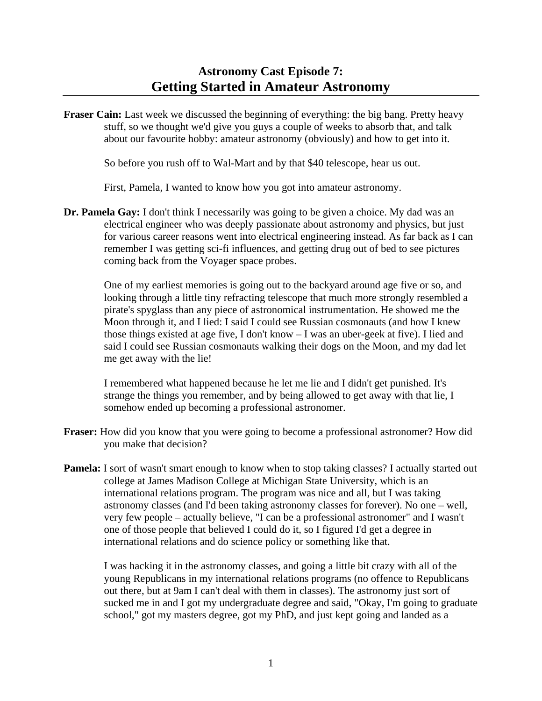## **Astronomy Cast Episode 7: Getting Started in Amateur Astronomy**

**Fraser Cain:** Last week we discussed the beginning of everything: the big bang. Pretty heavy stuff, so we thought we'd give you guys a couple of weeks to absorb that, and talk about our favourite hobby: amateur astronomy (obviously) and how to get into it.

So before you rush off to Wal-Mart and by that \$40 telescope, hear us out.

First, Pamela, I wanted to know how you got into amateur astronomy.

**Dr. Pamela Gay:** I don't think I necessarily was going to be given a choice. My dad was an electrical engineer who was deeply passionate about astronomy and physics, but just for various career reasons went into electrical engineering instead. As far back as I can remember I was getting sci-fi influences, and getting drug out of bed to see pictures coming back from the Voyager space probes.

 One of my earliest memories is going out to the backyard around age five or so, and looking through a little tiny refracting telescope that much more strongly resembled a pirate's spyglass than any piece of astronomical instrumentation. He showed me the Moon through it, and I lied: I said I could see Russian cosmonauts (and how I knew those things existed at age five, I don't know – I was an uber-geek at five). I lied and said I could see Russian cosmonauts walking their dogs on the Moon, and my dad let me get away with the lie!

 I remembered what happened because he let me lie and I didn't get punished. It's strange the things you remember, and by being allowed to get away with that lie, I somehow ended up becoming a professional astronomer.

- **Fraser:** How did you know that you were going to become a professional astronomer? How did you make that decision?
- **Pamela:** I sort of wasn't smart enough to know when to stop taking classes? I actually started out college at James Madison College at Michigan State University, which is an international relations program. The program was nice and all, but I was taking astronomy classes (and I'd been taking astronomy classes for forever). No one – well, very few people – actually believe, "I can be a professional astronomer" and I wasn't one of those people that believed I could do it, so I figured I'd get a degree in international relations and do science policy or something like that.

 I was hacking it in the astronomy classes, and going a little bit crazy with all of the young Republicans in my international relations programs (no offence to Republicans out there, but at 9am I can't deal with them in classes). The astronomy just sort of sucked me in and I got my undergraduate degree and said, "Okay, I'm going to graduate school," got my masters degree, got my PhD, and just kept going and landed as a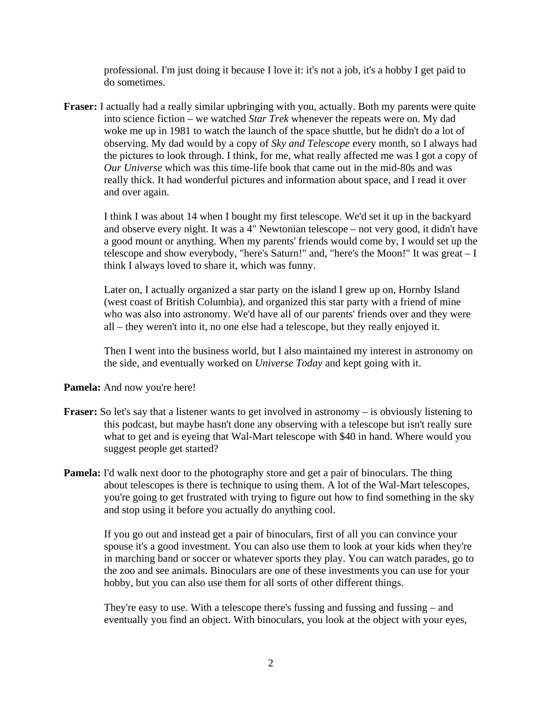professional. I'm just doing it because I love it: it's not a job, it's a hobby I get paid to do sometimes.

**Fraser:** I actually had a really similar upbringing with you, actually. Both my parents were quite into science fiction – we watched *Star Trek* whenever the repeats were on. My dad woke me up in 1981 to watch the launch of the space shuttle, but he didn't do a lot of observing. My dad would by a copy of *Sky and Telescope* every month, so I always had the pictures to look through. I think, for me, what really affected me was I got a copy of *Our Universe* which was this time-life book that came out in the mid-80s and was really thick. It had wonderful pictures and information about space, and I read it over and over again.

 I think I was about 14 when I bought my first telescope. We'd set it up in the backyard and observe every night. It was a 4" Newtonian telescope – not very good, it didn't have a good mount or anything. When my parents' friends would come by, I would set up the telescope and show everybody, "here's Saturn!" and, "here's the Moon!" It was great – I think I always loved to share it, which was funny.

 Later on, I actually organized a star party on the island I grew up on, Hornby Island (west coast of British Columbia), and organized this star party with a friend of mine who was also into astronomy. We'd have all of our parents' friends over and they were all – they weren't into it, no one else had a telescope, but they really enjoyed it.

 Then I went into the business world, but I also maintained my interest in astronomy on the side, and eventually worked on *Universe Today* and kept going with it.

**Pamela:** And now you're here!

- **Fraser:** So let's say that a listener wants to get involved in astronomy is obviously listening to this podcast, but maybe hasn't done any observing with a telescope but isn't really sure what to get and is eyeing that Wal-Mart telescope with \$40 in hand. Where would you suggest people get started?
- **Pamela:** I'd walk next door to the photography store and get a pair of binoculars. The thing about telescopes is there is technique to using them. A lot of the Wal-Mart telescopes, you're going to get frustrated with trying to figure out how to find something in the sky and stop using it before you actually do anything cool.

 If you go out and instead get a pair of binoculars, first of all you can convince your spouse it's a good investment. You can also use them to look at your kids when they're in marching band or soccer or whatever sports they play. You can watch parades, go to the zoo and see animals. Binoculars are one of these investments you can use for your hobby, but you can also use them for all sorts of other different things.

 They're easy to use. With a telescope there's fussing and fussing and fussing – and eventually you find an object. With binoculars, you look at the object with your eyes,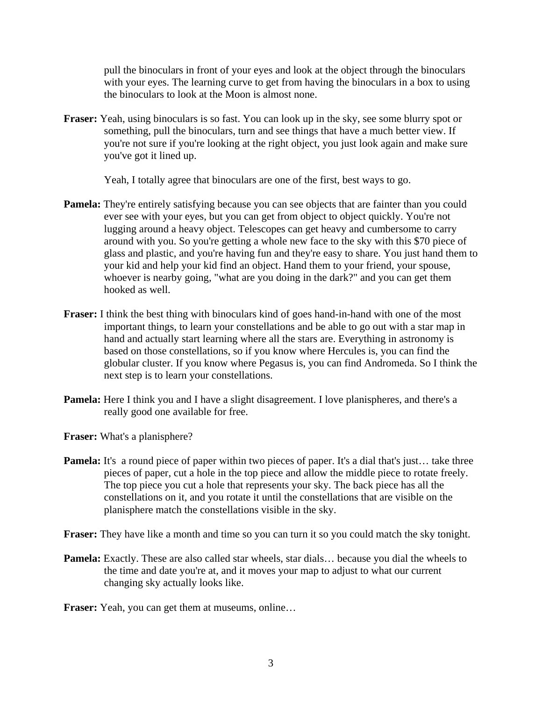pull the binoculars in front of your eyes and look at the object through the binoculars with your eyes. The learning curve to get from having the binoculars in a box to using the binoculars to look at the Moon is almost none.

**Fraser:** Yeah, using binoculars is so fast. You can look up in the sky, see some blurry spot or something, pull the binoculars, turn and see things that have a much better view. If you're not sure if you're looking at the right object, you just look again and make sure you've got it lined up.

Yeah, I totally agree that binoculars are one of the first, best ways to go.

- **Pamela:** They're entirely satisfying because you can see objects that are fainter than you could ever see with your eyes, but you can get from object to object quickly. You're not lugging around a heavy object. Telescopes can get heavy and cumbersome to carry around with you. So you're getting a whole new face to the sky with this \$70 piece of glass and plastic, and you're having fun and they're easy to share. You just hand them to your kid and help your kid find an object. Hand them to your friend, your spouse, whoever is nearby going, "what are you doing in the dark?" and you can get them hooked as well.
- **Fraser:** I think the best thing with binoculars kind of goes hand-in-hand with one of the most important things, to learn your constellations and be able to go out with a star map in hand and actually start learning where all the stars are. Everything in astronomy is based on those constellations, so if you know where Hercules is, you can find the globular cluster. If you know where Pegasus is, you can find Andromeda. So I think the next step is to learn your constellations.
- **Pamela:** Here I think you and I have a slight disagreement. I love planispheres, and there's a really good one available for free.

**Fraser:** What's a planisphere?

**Pamela:** It's a round piece of paper within two pieces of paper. It's a dial that's just... take three pieces of paper, cut a hole in the top piece and allow the middle piece to rotate freely. The top piece you cut a hole that represents your sky. The back piece has all the constellations on it, and you rotate it until the constellations that are visible on the planisphere match the constellations visible in the sky.

**Fraser:** They have like a month and time so you can turn it so you could match the sky tonight.

**Pamela:** Exactly. These are also called star wheels, star dials… because you dial the wheels to the time and date you're at, and it moves your map to adjust to what our current changing sky actually looks like.

**Fraser:** Yeah, you can get them at museums, online…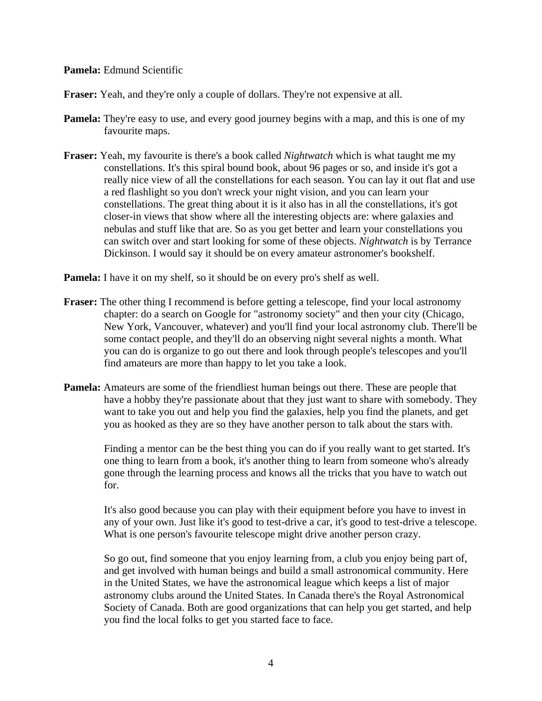**Pamela:** Edmund Scientific

**Fraser:** Yeah, and they're only a couple of dollars. They're not expensive at all.

- **Pamela:** They're easy to use, and every good journey begins with a map, and this is one of my favourite maps.
- **Fraser:** Yeah, my favourite is there's a book called *Nightwatch* which is what taught me my constellations. It's this spiral bound book, about 96 pages or so, and inside it's got a really nice view of all the constellations for each season. You can lay it out flat and use a red flashlight so you don't wreck your night vision, and you can learn your constellations. The great thing about it is it also has in all the constellations, it's got closer-in views that show where all the interesting objects are: where galaxies and nebulas and stuff like that are. So as you get better and learn your constellations you can switch over and start looking for some of these objects. *Nightwatch* is by Terrance Dickinson. I would say it should be on every amateur astronomer's bookshelf.

**Pamela:** I have it on my shelf, so it should be on every pro's shelf as well.

- **Fraser:** The other thing I recommend is before getting a telescope, find your local astronomy chapter: do a search on Google for "astronomy society" and then your city (Chicago, New York, Vancouver, whatever) and you'll find your local astronomy club. There'll be some contact people, and they'll do an observing night several nights a month. What you can do is organize to go out there and look through people's telescopes and you'll find amateurs are more than happy to let you take a look.
- **Pamela:** Amateurs are some of the friendliest human beings out there. These are people that have a hobby they're passionate about that they just want to share with somebody. They want to take you out and help you find the galaxies, help you find the planets, and get you as hooked as they are so they have another person to talk about the stars with.

 Finding a mentor can be the best thing you can do if you really want to get started. It's one thing to learn from a book, it's another thing to learn from someone who's already gone through the learning process and knows all the tricks that you have to watch out for.

 It's also good because you can play with their equipment before you have to invest in any of your own. Just like it's good to test-drive a car, it's good to test-drive a telescope. What is one person's favourite telescope might drive another person crazy.

 So go out, find someone that you enjoy learning from, a club you enjoy being part of, and get involved with human beings and build a small astronomical community. Here in the United States, we have the astronomical league which keeps a list of major astronomy clubs around the United States. In Canada there's the Royal Astronomical Society of Canada. Both are good organizations that can help you get started, and help you find the local folks to get you started face to face.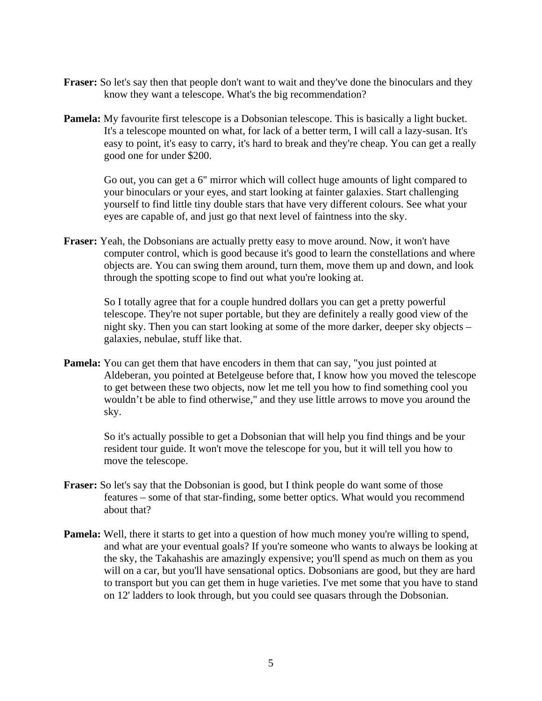- **Fraser:** So let's say then that people don't want to wait and they've done the binoculars and they know they want a telescope. What's the big recommendation?
- **Pamela:** My favourite first telescope is a Dobsonian telescope. This is basically a light bucket. It's a telescope mounted on what, for lack of a better term, I will call a lazy-susan. It's easy to point, it's easy to carry, it's hard to break and they're cheap. You can get a really good one for under \$200.

 Go out, you can get a 6" mirror which will collect huge amounts of light compared to your binoculars or your eyes, and start looking at fainter galaxies. Start challenging yourself to find little tiny double stars that have very different colours. See what your eyes are capable of, and just go that next level of faintness into the sky.

**Fraser:** Yeah, the Dobsonians are actually pretty easy to move around. Now, it won't have computer control, which is good because it's good to learn the constellations and where objects are. You can swing them around, turn them, move them up and down, and look through the spotting scope to find out what you're looking at.

 So I totally agree that for a couple hundred dollars you can get a pretty powerful telescope. They're not super portable, but they are definitely a really good view of the night sky. Then you can start looking at some of the more darker, deeper sky objects – galaxies, nebulae, stuff like that.

**Pamela:** You can get them that have encoders in them that can say, "you just pointed at Aldeberan, you pointed at Betelgeuse before that, I know how you moved the telescope to get between these two objects, now let me tell you how to find something cool you wouldn't be able to find otherwise," and they use little arrows to move you around the sky.

 So it's actually possible to get a Dobsonian that will help you find things and be your resident tour guide. It won't move the telescope for you, but it will tell you how to move the telescope.

- **Fraser:** So let's say that the Dobsonian is good, but I think people do want some of those features – some of that star-finding, some better optics. What would you recommend about that?
- **Pamela:** Well, there it starts to get into a question of how much money you're willing to spend, and what are your eventual goals? If you're someone who wants to always be looking at the sky, the Takahashis are amazingly expensive; you'll spend as much on them as you will on a car, but you'll have sensational optics. Dobsonians are good, but they are hard to transport but you can get them in huge varieties. I've met some that you have to stand on 12' ladders to look through, but you could see quasars through the Dobsonian.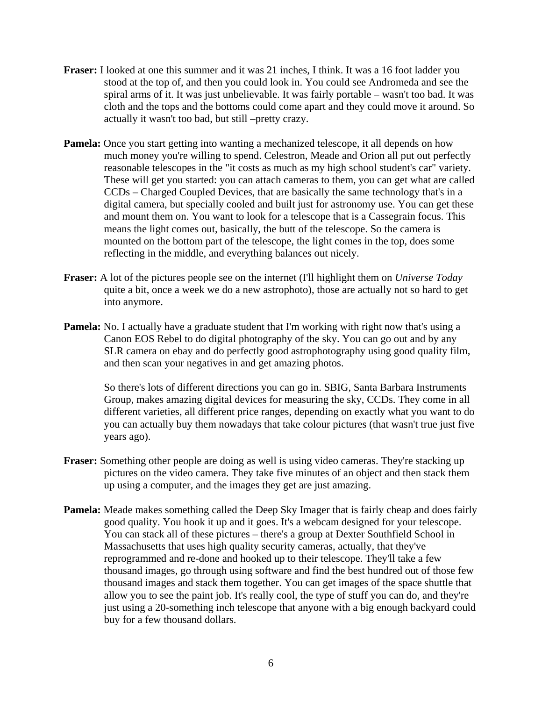- **Fraser:** I looked at one this summer and it was 21 inches, I think. It was a 16 foot ladder you stood at the top of, and then you could look in. You could see Andromeda and see the spiral arms of it. It was just unbelievable. It was fairly portable – wasn't too bad. It was cloth and the tops and the bottoms could come apart and they could move it around. So actually it wasn't too bad, but still –pretty crazy.
- **Pamela:** Once you start getting into wanting a mechanized telescope, it all depends on how much money you're willing to spend. Celestron, Meade and Orion all put out perfectly reasonable telescopes in the "it costs as much as my high school student's car" variety. These will get you started: you can attach cameras to them, you can get what are called CCDs – Charged Coupled Devices, that are basically the same technology that's in a digital camera, but specially cooled and built just for astronomy use. You can get these and mount them on. You want to look for a telescope that is a Cassegrain focus. This means the light comes out, basically, the butt of the telescope. So the camera is mounted on the bottom part of the telescope, the light comes in the top, does some reflecting in the middle, and everything balances out nicely.
- **Fraser:** A lot of the pictures people see on the internet (I'll highlight them on *Universe Today* quite a bit, once a week we do a new astrophoto), those are actually not so hard to get into anymore.
- **Pamela:** No. I actually have a graduate student that I'm working with right now that's using a Canon EOS Rebel to do digital photography of the sky. You can go out and by any SLR camera on ebay and do perfectly good astrophotography using good quality film, and then scan your negatives in and get amazing photos.

 So there's lots of different directions you can go in. SBIG, Santa Barbara Instruments Group, makes amazing digital devices for measuring the sky, CCDs. They come in all different varieties, all different price ranges, depending on exactly what you want to do you can actually buy them nowadays that take colour pictures (that wasn't true just five years ago).

- **Fraser:** Something other people are doing as well is using video cameras. They're stacking up pictures on the video camera. They take five minutes of an object and then stack them up using a computer, and the images they get are just amazing.
- **Pamela:** Meade makes something called the Deep Sky Imager that is fairly cheap and does fairly good quality. You hook it up and it goes. It's a webcam designed for your telescope. You can stack all of these pictures – there's a group at Dexter Southfield School in Massachusetts that uses high quality security cameras, actually, that they've reprogrammed and re-done and hooked up to their telescope. They'll take a few thousand images, go through using software and find the best hundred out of those few thousand images and stack them together. You can get images of the space shuttle that allow you to see the paint job. It's really cool, the type of stuff you can do, and they're just using a 20-something inch telescope that anyone with a big enough backyard could buy for a few thousand dollars.